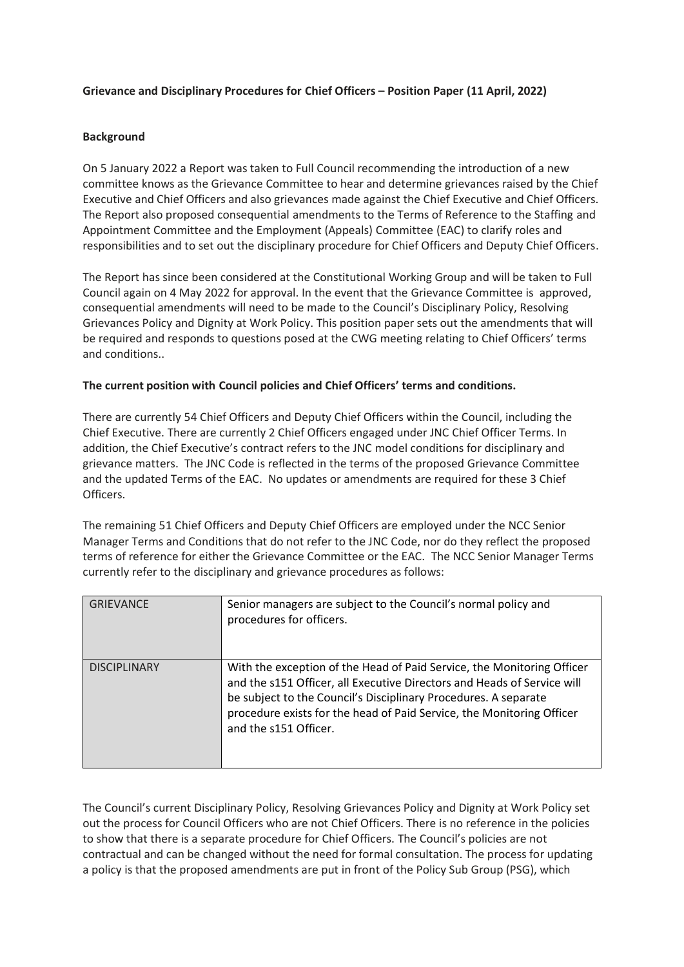## **Grievance and Disciplinary Procedures for Chief Officers – Position Paper (11 April, 2022)**

## **Background**

On 5 January 2022 a Report was taken to Full Council recommending the introduction of a new committee knows as the Grievance Committee to hear and determine grievances raised by the Chief Executive and Chief Officers and also grievances made against the Chief Executive and Chief Officers. The Report also proposed consequential amendments to the Terms of Reference to the Staffing and Appointment Committee and the Employment (Appeals) Committee (EAC) to clarify roles and responsibilities and to set out the disciplinary procedure for Chief Officers and Deputy Chief Officers.

The Report has since been considered at the Constitutional Working Group and will be taken to Full Council again on 4 May 2022 for approval. In the event that the Grievance Committee is approved, consequential amendments will need to be made to the Council's Disciplinary Policy, Resolving Grievances Policy and Dignity at Work Policy. This position paper sets out the amendments that will be required and responds to questions posed at the CWG meeting relating to Chief Officers' terms and conditions..

## **The current position with Council policies and Chief Officers' terms and conditions.**

There are currently 54 Chief Officers and Deputy Chief Officers within the Council, including the Chief Executive. There are currently 2 Chief Officers engaged under JNC Chief Officer Terms. In addition, the Chief Executive's contract refers to the JNC model conditions for disciplinary and grievance matters. The JNC Code is reflected in the terms of the proposed Grievance Committee and the updated Terms of the EAC. No updates or amendments are required for these 3 Chief Officers.

The remaining 51 Chief Officers and Deputy Chief Officers are employed under the NCC Senior Manager Terms and Conditions that do not refer to the JNC Code, nor do they reflect the proposed terms of reference for either the Grievance Committee or the EAC. The NCC Senior Manager Terms currently refer to the disciplinary and grievance procedures as follows:

| <b>GRIEVANCE</b>    | Senior managers are subject to the Council's normal policy and<br>procedures for officers.                                                                                                                                                                                                                             |
|---------------------|------------------------------------------------------------------------------------------------------------------------------------------------------------------------------------------------------------------------------------------------------------------------------------------------------------------------|
| <b>DISCIPLINARY</b> | With the exception of the Head of Paid Service, the Monitoring Officer<br>and the s151 Officer, all Executive Directors and Heads of Service will<br>be subject to the Council's Disciplinary Procedures. A separate<br>procedure exists for the head of Paid Service, the Monitoring Officer<br>and the s151 Officer. |

The Council's current Disciplinary Policy, Resolving Grievances Policy and Dignity at Work Policy set out the process for Council Officers who are not Chief Officers. There is no reference in the policies to show that there is a separate procedure for Chief Officers. The Council's policies are not contractual and can be changed without the need for formal consultation. The process for updating a policy is that the proposed amendments are put in front of the Policy Sub Group (PSG), which